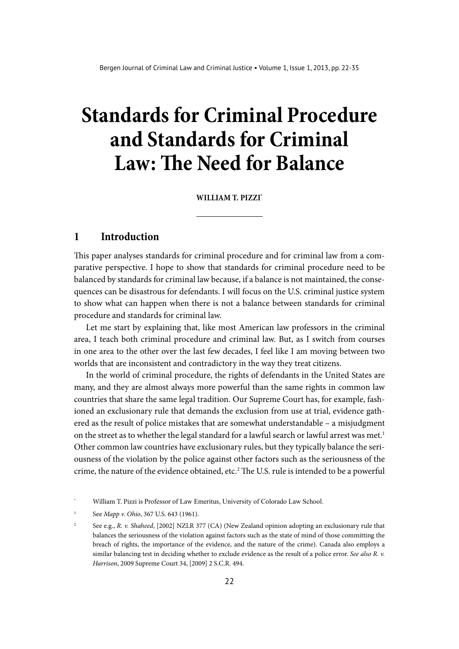# **Standards for Criminal Procedure and Standards for Criminal Law: The Need for Balance**

**William T. Pizzi\***

#### **1 Introduction**

This paper analyses standards for criminal procedure and for criminal law from a comparative perspective. I hope to show that standards for criminal procedure need to be balanced by standards for criminal law because, if a balance is not maintained, the consequences can be disastrous for defendants. I will focus on the U.S. criminal justice system to show what can happen when there is not a balance between standards for criminal procedure and standards for criminal law.

Let me start by explaining that, like most American law professors in the criminal area, I teach both criminal procedure and criminal law. But, as I switch from courses in one area to the other over the last few decades, I feel like I am moving between two worlds that are inconsistent and contradictory in the way they treat citizens.

In the world of criminal procedure, the rights of defendants in the United States are many, and they are almost always more powerful than the same rights in common law countries that share the same legal tradition. Our Supreme Court has, for example, fashioned an exclusionary rule that demands the exclusion from use at trial, evidence gathered as the result of police mistakes that are somewhat understandable – a misjudgment on the street as to whether the legal standard for a lawful search or lawful arrest was met.<sup>1</sup> Other common law countries have exclusionary rules, but they typically balance the seriousness of the violation by the police against other factors such as the seriousness of the crime, the nature of the evidence obtained, etc.<sup>2</sup> The U.S. rule is intended to be a powerful

William T. Pizzi is Professor of Law Emeritus, University of Colorado Law School.

<sup>1</sup> See *Mapp v. Ohio*, 367 U.S. 643 (1961).

<sup>2</sup> See e.g., *R. v. Shaheed*, [2002] NZLR 377 (CA) (New Zealand opinion adopting an exclusionary rule that balances the seriousness of the violation against factors such as the state of mind of those committing the breach of rights, the importance of the evidence, and the nature of the crime). Canada also employs a similar balancing test in deciding whether to exclude evidence as the result of a police error. *See also R. v. Harrison*, 2009 Supreme Court 34, [2009] 2 S.C.R. 494.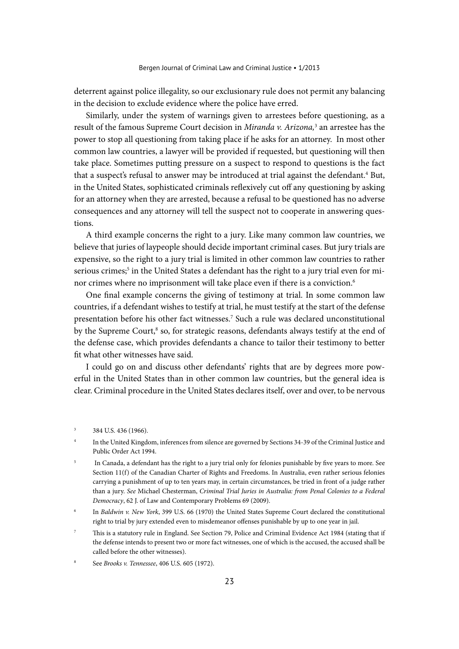deterrent against police illegality, so our exclusionary rule does not permit any balancing in the decision to exclude evidence where the police have erred.

Similarly, under the system of warnings given to arrestees before questioning, as a result of the famous Supreme Court decision in *Miranda v. Arizona*,<sup>3</sup> an arrestee has the power to stop all questioning from taking place if he asks for an attorney. In most other common law countries, a lawyer will be provided if requested, but questioning will then take place. Sometimes putting pressure on a suspect to respond to questions is the fact that a suspect's refusal to answer may be introduced at trial against the defendant.<sup>4</sup> But, in the United States, sophisticated criminals reflexively cut off any questioning by asking for an attorney when they are arrested, because a refusal to be questioned has no adverse consequences and any attorney will tell the suspect not to cooperate in answering questions.

A third example concerns the right to a jury. Like many common law countries, we believe that juries of laypeople should decide important criminal cases. But jury trials are expensive, so the right to a jury trial is limited in other common law countries to rather serious crimes;<sup>5</sup> in the United States a defendant has the right to a jury trial even for minor crimes where no imprisonment will take place even if there is a conviction.<sup>6</sup>

One final example concerns the giving of testimony at trial. In some common law countries, if a defendant wishes to testify at trial, he must testify at the start of the defense presentation before his other fact witnesses.7 Such a rule was declared unconstitutional by the Supreme Court,<sup>8</sup> so, for strategic reasons, defendants always testify at the end of the defense case, which provides defendants a chance to tailor their testimony to better fit what other witnesses have said.

I could go on and discuss other defendants' rights that are by degrees more powerful in the United States than in other common law countries, but the general idea is clear. Criminal procedure in the United States declares itself, over and over, to be nervous

 $3$  384 U.S. 436 (1966).

In the United Kingdom, inferences from silence are governed by Sections 34-39 of the Criminal Justice and Public Order Act 1994.

In Canada, a defendant has the right to a jury trial only for felonies punishable by five years to more. See Section 11(f) of the Canadian Charter of Rights and Freedoms. In Australia, even rather serious felonies carrying a punishment of up to ten years may, in certain circumstances, be tried in front of a judge rather than a jury. *See* Michael Chesterman, *Criminal Trial Juries in Australia: from Penal Colonies to a Federal Democracy*, 62 J. of Law and Contemporary Problems 69 (2009).

<sup>6</sup> In *Baldwin v. New York*, 399 U.S. 66 (1970) the United States Supreme Court declared the constitutional right to trial by jury extended even to misdemeanor offenses punishable by up to one year in jail.

<sup>7</sup> This is a statutory rule in England. See Section 79, Police and Criminal Evidence Act 1984 (stating that if the defense intends to present two or more fact witnesses, one of which is the accused, the accused shall be called before the other witnesses).

<sup>8</sup> See *Brooks v. Tennessee*, 406 U.S. 605 (1972).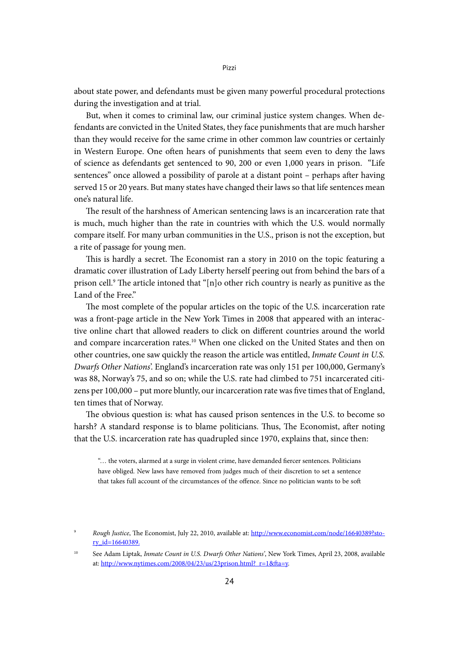about state power, and defendants must be given many powerful procedural protections during the investigation and at trial.

But, when it comes to criminal law, our criminal justice system changes. When defendants are convicted in the United States, they face punishments that are much harsher than they would receive for the same crime in other common law countries or certainly in Western Europe. One often hears of punishments that seem even to deny the laws of science as defendants get sentenced to 90, 200 or even 1,000 years in prison. "Life sentences" once allowed a possibility of parole at a distant point – perhaps after having served 15 or 20 years. But many states have changed their laws so that life sentences mean one's natural life.

The result of the harshness of American sentencing laws is an incarceration rate that is much, much higher than the rate in countries with which the U.S. would normally compare itself. For many urban communities in the U.S., prison is not the exception, but a rite of passage for young men.

This is hardly a secret. The Economist ran a story in 2010 on the topic featuring a dramatic cover illustration of Lady Liberty herself peering out from behind the bars of a prison cell.<sup>9</sup> The article intoned that "[n]o other rich country is nearly as punitive as the Land of the Free."

The most complete of the popular articles on the topic of the U.S. incarceration rate was a front-page article in the New York Times in 2008 that appeared with an interactive online chart that allowed readers to click on different countries around the world and compare incarceration rates.10 When one clicked on the United States and then on other countries, one saw quickly the reason the article was entitled, *Inmate Count in U.S. Dwarfs Other Nations*'. England's incarceration rate was only 151 per 100,000, Germany's was 88, Norway's 75, and so on; while the U.S. rate had climbed to 751 incarcerated citizens per 100,000 – put more bluntly, our incarceration rate was five times that of England, ten times that of Norway.

The obvious question is: what has caused prison sentences in the U.S. to become so harsh? A standard response is to blame politicians. Thus, The Economist, after noting that the U.S. incarceration rate has quadrupled since 1970, explains that, since then:

"… the voters, alarmed at a surge in violent crime, have demanded fiercer sentences. Politicians have obliged. New laws have removed from judges much of their discretion to set a sentence that takes full account of the circumstances of the offence. Since no politician wants to be soft

<sup>9</sup> *Rough Justice*, The Economist, July 22, 2010, available at: [http://www.economist.com/node/16640389?sto](http://www.economist.com/node/16640389?story_id=16640389)[ry\\_id=16640389](http://www.economist.com/node/16640389?story_id=16640389).

<sup>10</sup> See Adam Liptak, *Inmate Count in U.S. Dwarfs Other Nations'*, New York Times, April 23, 2008, available at: [http://www.nytimes.com/2008/04/23/us/23prison.html?\\_r=1&fta=y.](http://www.nytimes.com/2008/04/23/us/23prison.html?_r=1&fta=y)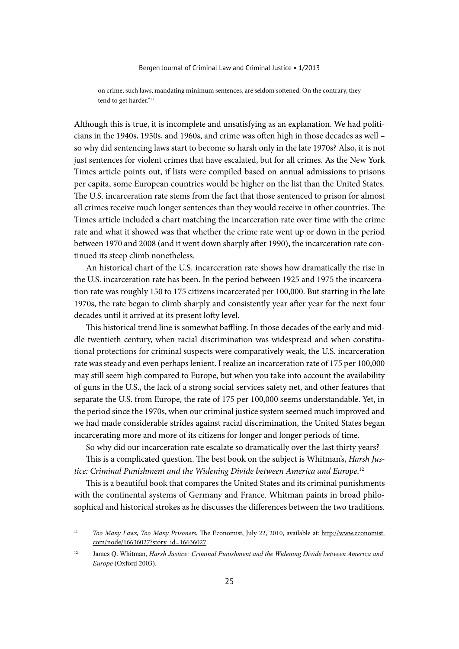Bergen Journal of Criminal Law and Criminal Justice • 1/2013

on crime, such laws, mandating minimum sentences, are seldom softened. On the contrary, they tend to get harder."<sup>11</sup>

Although this is true, it is incomplete and unsatisfying as an explanation. We had politicians in the 1940s, 1950s, and 1960s, and crime was often high in those decades as well – so why did sentencing laws start to become so harsh only in the late 1970s? Also, it is not just sentences for violent crimes that have escalated, but for all crimes. As the New York Times article points out, if lists were compiled based on annual admissions to prisons per capita, some European countries would be higher on the list than the United States. The U.S. incarceration rate stems from the fact that those sentenced to prison for almost all crimes receive much longer sentences than they would receive in other countries. The Times article included a chart matching the incarceration rate over time with the crime rate and what it showed was that whether the crime rate went up or down in the period between 1970 and 2008 (and it went down sharply after 1990), the incarceration rate continued its steep climb nonetheless.

An historical chart of the U.S. incarceration rate shows how dramatically the rise in the U.S. incarceration rate has been. In the period between 1925 and 1975 the incarceration rate was roughly 150 to 175 citizens incarcerated per 100,000. But starting in the late 1970s, the rate began to climb sharply and consistently year after year for the next four decades until it arrived at its present lofty level.

This historical trend line is somewhat baffling. In those decades of the early and middle twentieth century, when racial discrimination was widespread and when constitutional protections for criminal suspects were comparatively weak, the U.S. incarceration rate was steady and even perhaps lenient. I realize an incarceration rate of 175 per 100,000 may still seem high compared to Europe, but when you take into account the availability of guns in the U.S., the lack of a strong social services safety net, and other features that separate the U.S. from Europe, the rate of 175 per 100,000 seems understandable. Yet, in the period since the 1970s, when our criminal justice system seemed much improved and we had made considerable strides against racial discrimination, the United States began incarcerating more and more of its citizens for longer and longer periods of time.

So why did our incarceration rate escalate so dramatically over the last thirty years?

This is a complicated question. The best book on the subject is Whitman's, *Harsh Justice: Criminal Punishment and the Widening Divide between America and Europe*. 12

This is a beautiful book that compares the United States and its criminal punishments with the continental systems of Germany and France. Whitman paints in broad philosophical and historical strokes as he discusses the differences between the two traditions.

<sup>11</sup> *Too Many Laws, Too Many Prisoners*, The Economist, July 22, 2010, available at: http://www.economist. com/node/16636027?story\_id=16636027.

<sup>12</sup> James Q. Whitman, *Harsh Justice: Criminal Punishment and the Widening Divide between America and Europe* (Oxford 2003).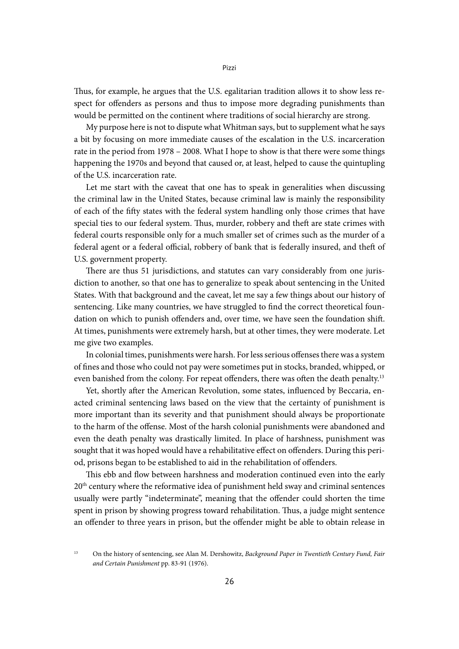Thus, for example, he argues that the U.S. egalitarian tradition allows it to show less respect for offenders as persons and thus to impose more degrading punishments than would be permitted on the continent where traditions of social hierarchy are strong.

My purpose here is not to dispute what Whitman says, but to supplement what he says a bit by focusing on more immediate causes of the escalation in the U.S. incarceration rate in the period from 1978 – 2008. What I hope to show is that there were some things happening the 1970s and beyond that caused or, at least, helped to cause the quintupling of the U.S. incarceration rate.

Let me start with the caveat that one has to speak in generalities when discussing the criminal law in the United States, because criminal law is mainly the responsibility of each of the fifty states with the federal system handling only those crimes that have special ties to our federal system. Thus, murder, robbery and theft are state crimes with federal courts responsible only for a much smaller set of crimes such as the murder of a federal agent or a federal official, robbery of bank that is federally insured, and theft of U.S. government property.

There are thus 51 jurisdictions, and statutes can vary considerably from one jurisdiction to another, so that one has to generalize to speak about sentencing in the United States. With that background and the caveat, let me say a few things about our history of sentencing. Like many countries, we have struggled to find the correct theoretical foundation on which to punish offenders and, over time, we have seen the foundation shift. At times, punishments were extremely harsh, but at other times, they were moderate. Let me give two examples.

In colonial times, punishments were harsh. For less serious offenses there was a system of fines and those who could not pay were sometimes put in stocks, branded, whipped, or even banished from the colony. For repeat offenders, there was often the death penalty.<sup>13</sup>

Yet, shortly after the American Revolution, some states, influenced by Beccaria, enacted criminal sentencing laws based on the view that the certainty of punishment is more important than its severity and that punishment should always be proportionate to the harm of the offense. Most of the harsh colonial punishments were abandoned and even the death penalty was drastically limited. In place of harshness, punishment was sought that it was hoped would have a rehabilitative effect on offenders. During this period, prisons began to be established to aid in the rehabilitation of offenders.

This ebb and flow between harshness and moderation continued even into the early 20th century where the reformative idea of punishment held sway and criminal sentences usually were partly "indeterminate", meaning that the offender could shorten the time spent in prison by showing progress toward rehabilitation. Thus, a judge might sentence an offender to three years in prison, but the offender might be able to obtain release in

<sup>13</sup> On the history of sentencing, see Alan M. Dershowitz, *Background Paper in Twentieth Century Fund, Fair and Certain Punishment* pp. 83-91 (1976).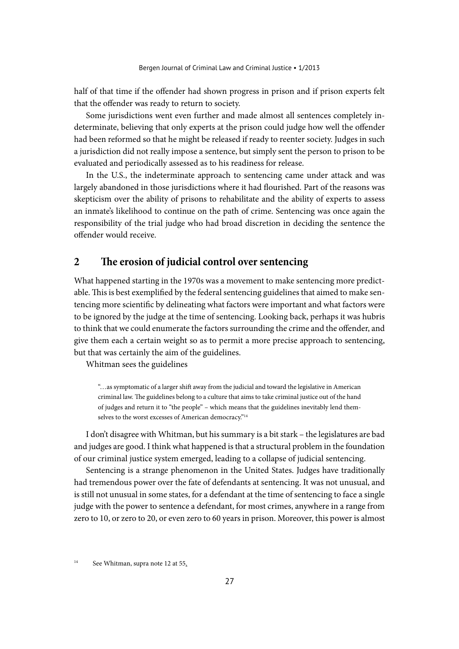half of that time if the offender had shown progress in prison and if prison experts felt that the offender was ready to return to society.

Some jurisdictions went even further and made almost all sentences completely indeterminate, believing that only experts at the prison could judge how well the offender had been reformed so that he might be released if ready to reenter society. Judges in such a jurisdiction did not really impose a sentence, but simply sent the person to prison to be evaluated and periodically assessed as to his readiness for release.

In the U.S., the indeterminate approach to sentencing came under attack and was largely abandoned in those jurisdictions where it had flourished. Part of the reasons was skepticism over the ability of prisons to rehabilitate and the ability of experts to assess an inmate's likelihood to continue on the path of crime. Sentencing was once again the responsibility of the trial judge who had broad discretion in deciding the sentence the offender would receive.

### **2 The erosion of judicial control over sentencing**

What happened starting in the 1970s was a movement to make sentencing more predictable. This is best exemplified by the federal sentencing guidelines that aimed to make sentencing more scientific by delineating what factors were important and what factors were to be ignored by the judge at the time of sentencing. Looking back, perhaps it was hubris to think that we could enumerate the factors surrounding the crime and the offender, and give them each a certain weight so as to permit a more precise approach to sentencing, but that was certainly the aim of the guidelines.

Whitman sees the guidelines

"…as symptomatic of a larger shift away from the judicial and toward the legislative in American criminal law. The guidelines belong to a culture that aims to take criminal justice out of the hand of judges and return it to "the people" – which means that the guidelines inevitably lend themselves to the worst excesses of American democracy."<sup>14</sup>

I don't disagree with Whitman, but his summary is a bit stark – the legislatures are bad and judges are good. I think what happened is that a structural problem in the foundation of our criminal justice system emerged, leading to a collapse of judicial sentencing.

Sentencing is a strange phenomenon in the United States. Judges have traditionally had tremendous power over the fate of defendants at sentencing. It was not unusual, and is still not unusual in some states, for a defendant at the time of sentencing to face a single judge with the power to sentence a defendant, for most crimes, anywhere in a range from zero to 10, or zero to 20, or even zero to 60 years in prison. Moreover, this power is almost

<sup>&</sup>lt;sup>14</sup> See Whitman, supra note 12 at  $55$ .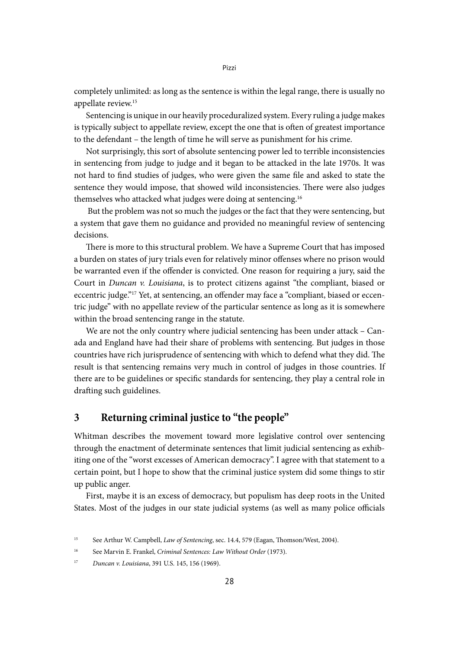completely unlimited: as long as the sentence is within the legal range, there is usually no appellate review.15

Sentencing is unique in our heavily proceduralized system. Every ruling a judge makes is typically subject to appellate review, except the one that is often of greatest importance to the defendant – the length of time he will serve as punishment for his crime.

Not surprisingly, this sort of absolute sentencing power led to terrible inconsistencies in sentencing from judge to judge and it began to be attacked in the late 1970s. It was not hard to find studies of judges, who were given the same file and asked to state the sentence they would impose, that showed wild inconsistencies. There were also judges themselves who attacked what judges were doing at sentencing.16

 But the problem was not so much the judges or the fact that they were sentencing, but a system that gave them no guidance and provided no meaningful review of sentencing decisions.

There is more to this structural problem. We have a Supreme Court that has imposed a burden on states of jury trials even for relatively minor offenses where no prison would be warranted even if the offender is convicted. One reason for requiring a jury, said the Court in *Duncan v. Louisiana*, is to protect citizens against "the compliant, biased or eccentric judge."17 Yet, at sentencing, an offender may face a "compliant, biased or eccentric judge" with no appellate review of the particular sentence as long as it is somewhere within the broad sentencing range in the statute.

We are not the only country where judicial sentencing has been under attack – Canada and England have had their share of problems with sentencing. But judges in those countries have rich jurisprudence of sentencing with which to defend what they did. The result is that sentencing remains very much in control of judges in those countries. If there are to be guidelines or specific standards for sentencing, they play a central role in drafting such guidelines.

#### **3 Returning criminal justice to "the people"**

Whitman describes the movement toward more legislative control over sentencing through the enactment of determinate sentences that limit judicial sentencing as exhibiting one of the "worst excesses of American democracy". I agree with that statement to a certain point, but I hope to show that the criminal justice system did some things to stir up public anger.

First, maybe it is an excess of democracy, but populism has deep roots in the United States. Most of the judges in our state judicial systems (as well as many police officials

<sup>&</sup>lt;sup>15</sup> See Arthur W. Campbell, *Law of Sentencing*, sec. 14.4, 579 (Eagan, Thomson/West, 2004).

<sup>16</sup> See Marvin E. Frankel, *Criminal Sentences: Law Without Order* (1973).

<sup>17</sup> *Duncan v. Louisiana*, 391 U.S. 145, 156 (1969).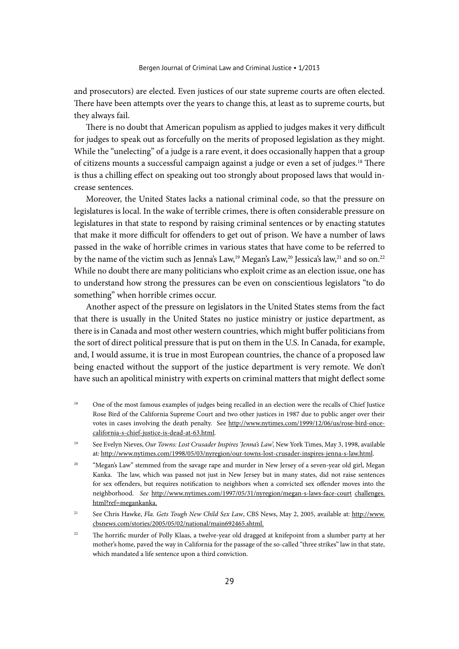and prosecutors) are elected. Even justices of our state supreme courts are often elected. There have been attempts over the years to change this, at least as to supreme courts, but they always fail.

There is no doubt that American populism as applied to judges makes it very difficult for judges to speak out as forcefully on the merits of proposed legislation as they might. While the "unelecting" of a judge is a rare event, it does occasionally happen that a group of citizens mounts a successful campaign against a judge or even a set of judges.18 There is thus a chilling effect on speaking out too strongly about proposed laws that would increase sentences.

Moreover, the United States lacks a national criminal code, so that the pressure on legislatures is local. In the wake of terrible crimes, there is often considerable pressure on legislatures in that state to respond by raising criminal sentences or by enacting statutes that make it more difficult for offenders to get out of prison. We have a number of laws passed in the wake of horrible crimes in various states that have come to be referred to by the name of the victim such as Jenna's Law,<sup>19</sup> Megan's Law,<sup>20</sup> Jessica's law,<sup>21</sup> and so on.<sup>22</sup> While no doubt there are many politicians who exploit crime as an election issue, one has to understand how strong the pressures can be even on conscientious legislators "to do something" when horrible crimes occur.

Another aspect of the pressure on legislators in the United States stems from the fact that there is usually in the United States no justice ministry or justice department, as there is in Canada and most other western countries, which might buffer politicians from the sort of direct political pressure that is put on them in the U.S. In Canada, for example, and, I would assume, it is true in most European countries, the chance of a proposed law being enacted without the support of the justice department is very remote. We don't have such an apolitical ministry with experts on criminal matters that might deflect some

- <sup>18</sup> One of the most famous examples of judges being recalled in an election were the recalls of Chief Justice Rose Bird of the California Supreme Court and two other justices in 1987 due to public anger over their votes in cases involving the death penalty. See http://www.nytimes.com/1999/12/06/us/rose-bird-oncecalifornia-s-chief-justice-is-dead-at-63.html.
- <sup>19</sup> See Evelyn Nieves, *Our Towns: Lost Crusader Inspires 'Jenna's Law*', New York Times, May 3, 1998, available at: <http://www.nytimes.com/1998/05/03/nyregion/our-towns-lost-crusader-inspires-jenna-s-law.html>.
- <sup>20</sup> "Megan's Law" stemmed from the savage rape and murder in New Jersey of a seven-year old girl, Megan Kanka. The law, which was passed not just in New Jersey but in many states, did not raise sentences for sex offenders, but requires notification to neighbors when a convicted sex offender moves into the neighborhood. *See* <http://www.nytimes.com/1997/05/31/nyregion/megan-s-laws-face-court> challenges. html?ref=megankanka.
- <sup>21</sup> See Chris Hawke, *Fla. Gets Tough New Child Sex Law*, CBS News, May 2, 2005, available at: http://www. cbsnews.com/stories/2005/05/02/national/main692465.shtml.
- <sup>22</sup> The horrific murder of Polly Klaas, a twelve-year old dragged at knifepoint from a slumber party at her mother's home, paved the way in California for the passage of the so-called "three strikes" law in that state, which mandated a life sentence upon a third conviction.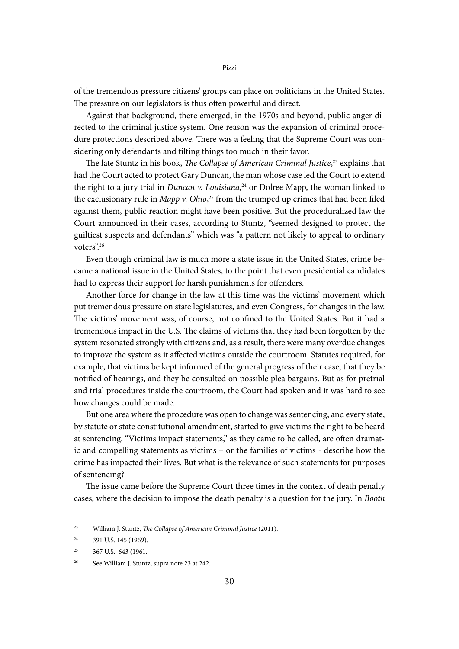of the tremendous pressure citizens' groups can place on politicians in the United States. The pressure on our legislators is thus often powerful and direct.

Against that background, there emerged, in the 1970s and beyond, public anger directed to the criminal justice system. One reason was the expansion of criminal procedure protections described above. There was a feeling that the Supreme Court was considering only defendants and tilting things too much in their favor.

The late Stuntz in his book, *The Collapse of American Criminal Justice*, 23 explains that had the Court acted to protect Gary Duncan, the man whose case led the Court to extend the right to a jury trial in *Duncan v. Louisiana*, 24 or Dolree Mapp, the woman linked to the exclusionary rule in *Mapp v. Ohio*, 25 from the trumped up crimes that had been filed against them, public reaction might have been positive. But the proceduralized law the Court announced in their cases, according to Stuntz, "seemed designed to protect the guiltiest suspects and defendants" which was "a pattern not likely to appeal to ordinary voters".26

Even though criminal law is much more a state issue in the United States, crime became a national issue in the United States, to the point that even presidential candidates had to express their support for harsh punishments for offenders.

Another force for change in the law at this time was the victims' movement which put tremendous pressure on state legislatures, and even Congress, for changes in the law. The victims' movement was, of course, not confined to the United States. But it had a tremendous impact in the U.S. The claims of victims that they had been forgotten by the system resonated strongly with citizens and, as a result, there were many overdue changes to improve the system as it affected victims outside the courtroom. Statutes required, for example, that victims be kept informed of the general progress of their case, that they be notified of hearings, and they be consulted on possible plea bargains. But as for pretrial and trial procedures inside the courtroom, the Court had spoken and it was hard to see how changes could be made.

But one area where the procedure was open to change was sentencing, and every state, by statute or state constitutional amendment, started to give victims the right to be heard at sentencing. "Victims impact statements," as they came to be called, are often dramatic and compelling statements as victims – or the families of victims - describe how the crime has impacted their lives. But what is the relevance of such statements for purposes of sentencing?

The issue came before the Supreme Court three times in the context of death penalty cases, where the decision to impose the death penalty is a question for the jury. In *Booth* 

<sup>23</sup> William J. Stuntz, *The Collapse of American Criminal Justice* (2011).

 $24$  391 U.S. 145 (1969).

 $25$  367 U.S. 643 (1961.

<sup>26</sup> See William J. Stuntz, supra note 23 at 242.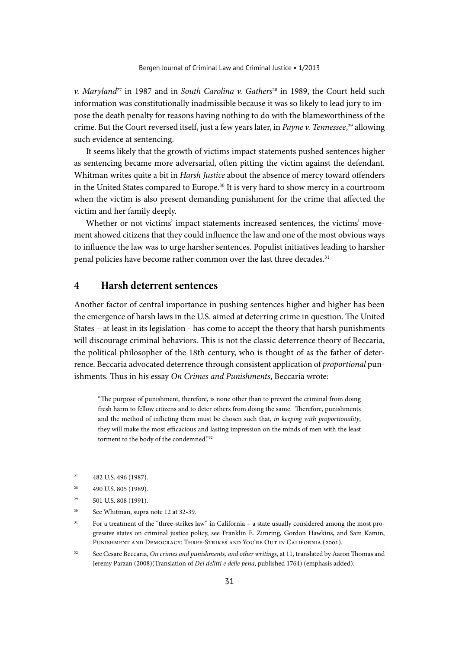*v. Maryland*<sup>27</sup> in 1987 and in *South Carolina v. Gathers*<sup>28</sup> in 1989, the Court held such information was constitutionally inadmissible because it was so likely to lead jury to impose the death penalty for reasons having nothing to do with the blameworthiness of the crime. But the Court reversed itself, just a few years later, in *Payne v. Tennessee*, 29 allowing such evidence at sentencing.

It seems likely that the growth of victims impact statements pushed sentences higher as sentencing became more adversarial, often pitting the victim against the defendant. Whitman writes quite a bit in *Harsh Justice* about the absence of mercy toward offenders in the United States compared to Europe.<sup>30</sup> It is very hard to show mercy in a courtroom when the victim is also present demanding punishment for the crime that affected the victim and her family deeply.

Whether or not victims' impact statements increased sentences, the victims' movement showed citizens that they could influence the law and one of the most obvious ways to influence the law was to urge harsher sentences. Populist initiatives leading to harsher penal policies have become rather common over the last three decades.<sup>31</sup>

#### **4 Harsh deterrent sentences**

Another factor of central importance in pushing sentences higher and higher has been the emergence of harsh laws in the U.S. aimed at deterring crime in question. The United States – at least in its legislation - has come to accept the theory that harsh punishments will discourage criminal behaviors. This is not the classic deterrence theory of Beccaria, the political philosopher of the 18th century, who is thought of as the father of deterrence. Beccaria advocated deterrence through consistent application of *proportional* punishments. Thus in his essay *On Crimes and Punishments*, Beccaria wrote:

"The purpose of punishment, therefore, is none other than to prevent the criminal from doing fresh harm to fellow citizens and to deter others from doing the same. Therefore, punishments and the method of inflicting them must be chosen such that, *in keeping with proportionality*, they will make the most efficacious and lasting impression on the minds of men with the least torment to the body of the condemned."32

- $27$  482 U.S. 496 (1987).
- <sup>28</sup> 490 U.S. 805 (1989).
- $29$  501 U.S. 808 (1991).
- <sup>30</sup> See Whitman, supra note 12 at 32-39.
- <sup>31</sup> For a treatment of the "three-strikes law" in California a state usually considered among the most progressive states on criminal justice policy, see Franklin E. Zimring, Gordon Hawkins, and Sam Kamin, PUNISHMENT AND DEMOCRACY: THREE-STRIKES AND YOU'RE OUT IN CALIFORNIA (2001).
- <sup>32</sup> See Cesare Beccaria, *On crimes and punishments, and other writings*, at 11, translated by Aaron Thomas and Jeremy Parzan (2008)(Translation of *Dei delitti e delle pena*, published 1764) (emphasis added).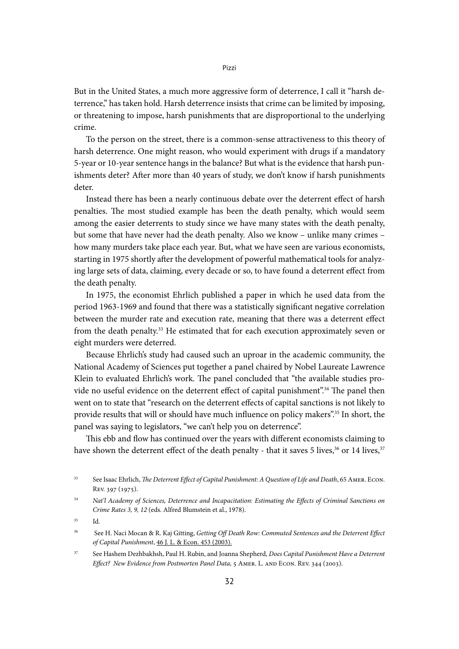But in the United States, a much more aggressive form of deterrence, I call it "harsh deterrence," has taken hold. Harsh deterrence insists that crime can be limited by imposing, or threatening to impose, harsh punishments that are disproportional to the underlying crime.

To the person on the street, there is a common-sense attractiveness to this theory of harsh deterrence. One might reason, who would experiment with drugs if a mandatory 5-year or 10-year sentence hangs in the balance? But what is the evidence that harsh punishments deter? After more than 40 years of study, we don't know if harsh punishments deter.

Instead there has been a nearly continuous debate over the deterrent effect of harsh penalties. The most studied example has been the death penalty, which would seem among the easier deterrents to study since we have many states with the death penalty, but some that have never had the death penalty. Also we know – unlike many crimes – how many murders take place each year. But, what we have seen are various economists, starting in 1975 shortly after the development of powerful mathematical tools for analyzing large sets of data, claiming, every decade or so, to have found a deterrent effect from the death penalty.

In 1975, the economist Ehrlich published a paper in which he used data from the period 1963-1969 and found that there was a statistically significant negative correlation between the murder rate and execution rate, meaning that there was a deterrent effect from the death penalty.<sup>33</sup> He estimated that for each execution approximately seven or eight murders were deterred.

Because Ehrlich's study had caused such an uproar in the academic community, the National Academy of Sciences put together a panel chaired by Nobel Laureate Lawrence Klein to evaluated Ehrlich's work. The panel concluded that "the available studies provide no useful evidence on the deterrent effect of capital punishment".<sup>34</sup> The panel then went on to state that "research on the deterrent effects of capital sanctions is not likely to provide results that will or should have much influence on policy makers".<sup>35</sup> In short, the panel was saying to legislators, "we can't help you on deterrence".

This ebb and flow has continued over the years with different economists claiming to have shown the deterrent effect of the death penalty - that it saves 5 lives,<sup>36</sup> or 14 lives,<sup>37</sup>

<sup>33</sup> See Isaac Ehrlich, *The Deterrent Effect of Capital Punishment: A Question of Life and Death*, 65 Amer. Econ. Rev. 397 (1975).

<sup>34</sup> *Nat'l Academy of Sciences, Deterrence and Incapacitation: Estimating the Effects of Criminal Sanctions on Crime Rates 3, 9, 12* (eds. Alfred Blumstein et al., 1978).

<sup>35</sup> Id.

<sup>36</sup> See H. Naci Mocan & R. Kaj Gitting, *Getting Off Death Row: Commuted Sentences and the Deterrent Effect of Capital Punishment*, 46 J. L. & Econ. 453 (2003).

<sup>37</sup> See Hashem Dezhbakhsh, Paul H. Rubin, and Joanna Shepherd, *Does Capital Punishment Have a Deterrent Effect? New Evidence from Postmorten Panel Data,* 5 Amer. L. AND ECON. Rev. 344 (2003).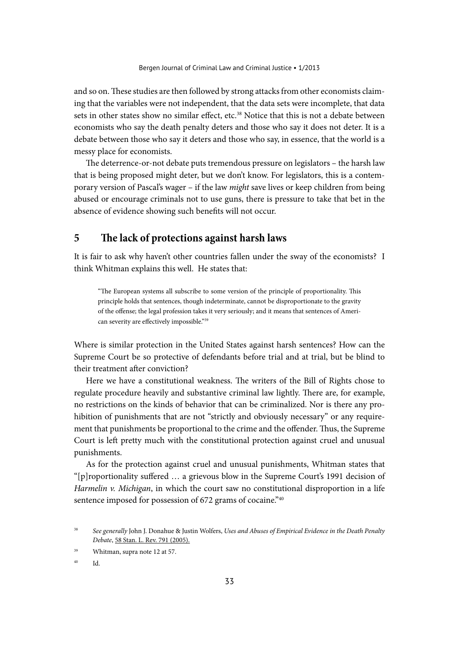and so on. These studies are then followed by strong attacks from other economists claiming that the variables were not independent, that the data sets were incomplete, that data sets in other states show no similar effect, etc.<sup>38</sup> Notice that this is not a debate between economists who say the death penalty deters and those who say it does not deter. It is a debate between those who say it deters and those who say, in essence, that the world is a messy place for economists.

The deterrence-or-not debate puts tremendous pressure on legislators – the harsh law that is being proposed might deter, but we don't know. For legislators, this is a contemporary version of Pascal's wager – if the law *might* save lives or keep children from being abused or encourage criminals not to use guns, there is pressure to take that bet in the absence of evidence showing such benefits will not occur.

### **5 The lack of protections against harsh laws**

It is fair to ask why haven't other countries fallen under the sway of the economists? I think Whitman explains this well. He states that:

"The European systems all subscribe to some version of the principle of proportionality. This principle holds that sentences, though indeterminate, cannot be disproportionate to the gravity of the offense; the legal profession takes it very seriously; and it means that sentences of American severity are effectively impossible."39

Where is similar protection in the United States against harsh sentences? How can the Supreme Court be so protective of defendants before trial and at trial, but be blind to their treatment after conviction?

Here we have a constitutional weakness. The writers of the Bill of Rights chose to regulate procedure heavily and substantive criminal law lightly. There are, for example, no restrictions on the kinds of behavior that can be criminalized. Nor is there any prohibition of punishments that are not "strictly and obviously necessary" or any requirement that punishments be proportional to the crime and the offender. Thus, the Supreme Court is left pretty much with the constitutional protection against cruel and unusual punishments.

As for the protection against cruel and unusual punishments, Whitman states that "[p]roportionality suffered … a grievous blow in the Supreme Court's 1991 decision of *Harmelin v. Michigan*, in which the court saw no constitutional disproportion in a life sentence imposed for possession of 672 grams of cocaine."40

<sup>38</sup> *See generally* John J. Donahue & Justin Wolfers, *Uses and Abuses of Empirical Evidence in the Death Penalty Debate*, 58 Stan. L. Rev. 791 (2005).

<sup>39</sup> Whitman, supra note 12 at 57.

 $\mathbf{I}$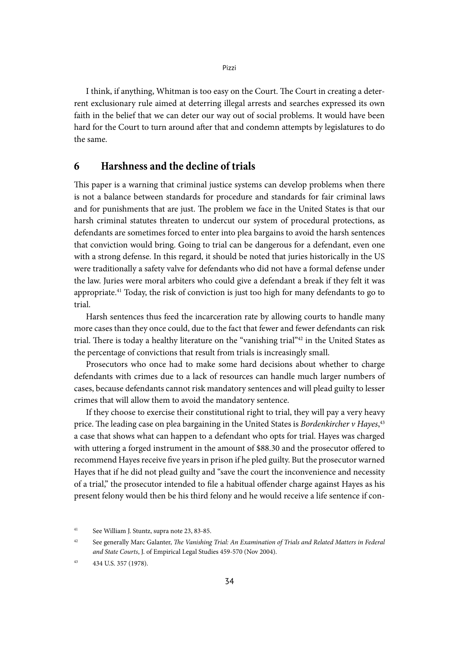I think, if anything, Whitman is too easy on the Court. The Court in creating a deterrent exclusionary rule aimed at deterring illegal arrests and searches expressed its own faith in the belief that we can deter our way out of social problems. It would have been hard for the Court to turn around after that and condemn attempts by legislatures to do the same.

## **6 Harshness and the decline of trials**

This paper is a warning that criminal justice systems can develop problems when there is not a balance between standards for procedure and standards for fair criminal laws and for punishments that are just. The problem we face in the United States is that our harsh criminal statutes threaten to undercut our system of procedural protections, as defendants are sometimes forced to enter into plea bargains to avoid the harsh sentences that conviction would bring. Going to trial can be dangerous for a defendant, even one with a strong defense. In this regard, it should be noted that juries historically in the US were traditionally a safety valve for defendants who did not have a formal defense under the law. Juries were moral arbiters who could give a defendant a break if they felt it was appropriate.41 Today, the risk of conviction is just too high for many defendants to go to trial.

Harsh sentences thus feed the incarceration rate by allowing courts to handle many more cases than they once could, due to the fact that fewer and fewer defendants can risk trial. There is today a healthy literature on the "vanishing trial"42 in the United States as the percentage of convictions that result from trials is increasingly small.

Prosecutors who once had to make some hard decisions about whether to charge defendants with crimes due to a lack of resources can handle much larger numbers of cases, because defendants cannot risk mandatory sentences and will plead guilty to lesser crimes that will allow them to avoid the mandatory sentence.

If they choose to exercise their constitutional right to trial, they will pay a very heavy price. The leading case on plea bargaining in the United States is *Bordenkircher v Hayes*, 43 a case that shows what can happen to a defendant who opts for trial. Hayes was charged with uttering a forged instrument in the amount of \$88.30 and the prosecutor offered to recommend Hayes receive five years in prison if he pled guilty. But the prosecutor warned Hayes that if he did not plead guilty and "save the court the inconvenience and necessity of a trial," the prosecutor intended to file a habitual offender charge against Hayes as his present felony would then be his third felony and he would receive a life sentence if con-

<sup>41</sup> See William J. Stuntz, supra note 23, 83-85.

<sup>42</sup> See generally Marc Galanter, *The Vanishing Trial: An Examination of Trials and Related Matters in Federal and State Courts*, J. of Empirical Legal Studies 459-570 (Nov 2004).

<sup>43</sup> 434 U.S. 357 (1978).